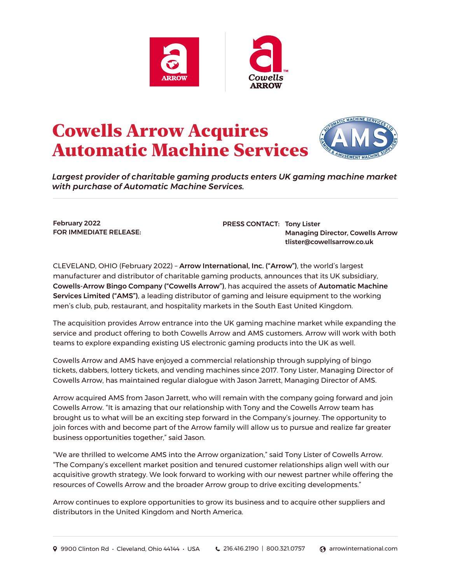

## Cowells Arrow Acquires Automatic Machine Services



*Largest provider of charitable gaming products enters UK gaming machine market with purchase of Automatic Machine Services.*

February 2022 FOR IMMEDIATE RELEASE: PRESS CONTACT: Tony Lister Managing Director, Cowells Arrow [tlister@cowellsarrow.co.uk](mailto:tlister@cowellsarrow.co.uk)

CLEVELAND, OHIO (February 2022) – [Arrow International, Inc. \("Arrow"\)](https://www.arrowinternational.com), the world's largest manufacturer and distributor of charitable gaming products, announces that its UK subsidiary, [Cowells-Arrow Bingo Company \("Cowells Arrow"\)](https://www.cowellsarrow.co.uk), has acquired the assets of [Automatic Machine](https://www.automaticmachineservices.co.uk)  [Services Limited \("AMS"\)](https://www.automaticmachineservices.co.uk), a leading distributor of gaming and leisure equipment to the working men's club, pub, restaurant, and hospitality markets in the South East United Kingdom.

The acquisition provides Arrow entrance into the UK gaming machine market while expanding the service and product offering to both Cowells Arrow and AMS customers. Arrow will work with both teams to explore expanding existing US electronic gaming products into the UK as well.

Cowells Arrow and AMS have enjoyed a commercial relationship through supplying of bingo tickets, dabbers, lottery tickets, and vending machines since 2017. Tony Lister, Managing Director of Cowells Arrow, has maintained regular dialogue with Jason Jarrett, Managing Director of AMS.

Arrow acquired AMS from Jason Jarrett, who will remain with the company going forward and join Cowells Arrow. "It is amazing that our relationship with Tony and the Cowells Arrow team has brought us to what will be an exciting step forward in the Company's journey. The opportunity to join forces with and become part of the Arrow family will allow us to pursue and realize far greater business opportunities together," said Jason.

"We are thrilled to welcome AMS into the Arrow organization," said Tony Lister of Cowells Arrow. "The Company's excellent market position and tenured customer relationships align well with our acquisitive growth strategy. We look forward to working with our newest partner while offering the resources of Cowells Arrow and the broader Arrow group to drive exciting developments."

Arrow continues to explore opportunities to grow its business and to acquire other suppliers and distributors in the United Kingdom and North America.